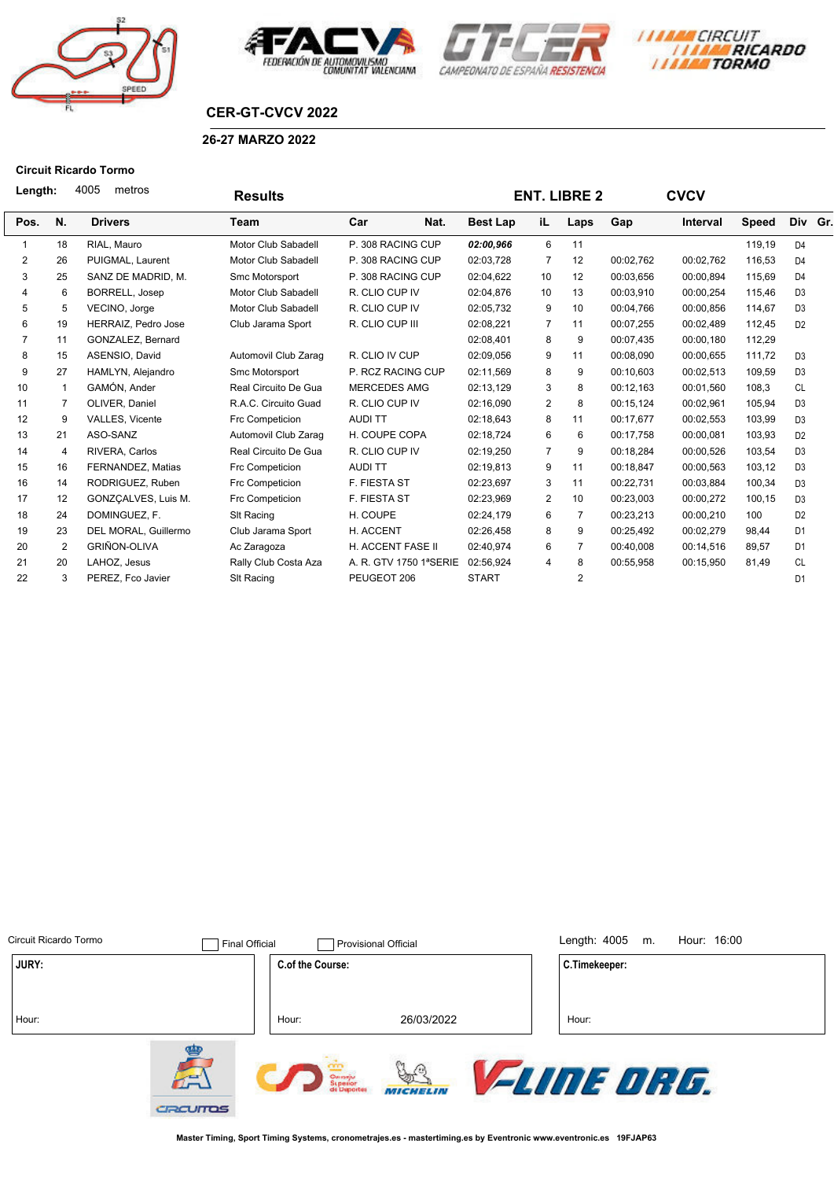







# **CER-GT-CVCV 2022**

#### **26-27 MARZO 2022**

## **Circuit Ricardo Tormo**

|                | 4005<br>metros<br>Length:<br><b>Results</b> |                       |                      |                        |                 | <b>ENT. LIBRE 2</b> |                | <b>CVCV</b> |                 |              |                |  |
|----------------|---------------------------------------------|-----------------------|----------------------|------------------------|-----------------|---------------------|----------------|-------------|-----------------|--------------|----------------|--|
| Pos.           | N.                                          | <b>Drivers</b>        | Team                 | Car<br>Nat.            | <b>Best Lap</b> | iL.                 | Laps           | Gap         | <b>Interval</b> | <b>Speed</b> | Div Gr.        |  |
|                | 18                                          | RIAL, Mauro           | Motor Club Sabadell  | P. 308 RACING CUP      | 02:00,966       | 6                   | 11             |             |                 | 119,19       | D <sub>4</sub> |  |
| 2              | 26                                          | PUIGMAL, Laurent      | Motor Club Sabadell  | P. 308 RACING CUP      | 02:03,728       | $\overline{7}$      | 12             | 00:02,762   | 00:02,762       | 116,53       | D <sub>4</sub> |  |
| 3              | 25                                          | SANZ DE MADRID, M.    | Smc Motorsport       | P. 308 RACING CUP      | 02:04,622       | 10                  | 12             | 00:03,656   | 00:00,894       | 115,69       | D <sub>4</sub> |  |
| 4              | 6                                           | <b>BORRELL, Josep</b> | Motor Club Sabadell  | R. CLIO CUP IV         | 02:04,876       | 10                  | 13             | 00:03,910   | 00:00,254       | 115,46       | D <sub>3</sub> |  |
| 5              | 5                                           | VECINO, Jorge         | Motor Club Sabadell  | R. CLIO CUP IV         | 02:05,732       | 9                   | 10             | 00:04.766   | 00:00,856       | 114,67       | D <sub>3</sub> |  |
| 6              | 19                                          | HERRAIZ, Pedro Jose   | Club Jarama Sport    | R. CLIO CUP III        | 02:08,221       | $\overline{7}$      | 11             | 00:07,255   | 00:02,489       | 112,45       | D <sub>2</sub> |  |
| $\overline{7}$ | 11                                          | GONZALEZ, Bernard     |                      |                        | 02:08,401       | 8                   | 9              | 00:07,435   | 00:00,180       | 112,29       |                |  |
| 8              | 15                                          | ASENSIO, David        | Automovil Club Zarag | R. CLIO IV CUP         | 02:09,056       | 9                   | 11             | 00:08,090   | 00:00,655       | 111,72       | D <sub>3</sub> |  |
| 9              | 27                                          | HAMLYN, Alejandro     | Smc Motorsport       | P. RCZ RACING CUP      | 02:11,569       | 8                   | 9              | 00:10,603   | 00:02,513       | 109,59       | D <sub>3</sub> |  |
| 10             | 1                                           | GAMÓN, Ander          | Real Circuito De Gua | <b>MERCEDES AMG</b>    | 02:13,129       | 3                   | 8              | 00:12,163   | 00:01,560       | 108,3        | <b>CL</b>      |  |
| 11             | 7                                           | OLIVER, Daniel        | R.A.C. Circuito Guad | R. CLIO CUP IV         | 02:16,090       | 2                   | 8              | 00:15,124   | 00:02,961       | 105,94       | D <sub>3</sub> |  |
| 12             | 9                                           | VALLES, Vicente       | Frc Competicion      | <b>AUDITT</b>          | 02:18,643       | 8                   | 11             | 00:17.677   | 00:02,553       | 103,99       | D <sub>3</sub> |  |
| 13             | 21                                          | ASO-SANZ              | Automovil Club Zarag | H. COUPE COPA          | 02:18,724       | 6                   | 6              | 00:17,758   | 00:00,081       | 103,93       | D <sub>2</sub> |  |
| 14             | 4                                           | RIVERA, Carlos        | Real Circuito De Gua | R. CLIO CUP IV         | 02:19,250       | $\overline{7}$      | 9              | 00:18.284   | 00:00,526       | 103.54       | D <sub>3</sub> |  |
| 15             | 16                                          | FERNANDEZ, Matias     | Frc Competicion      | <b>AUDITT</b>          | 02:19,813       | 9                   | 11             | 00:18,847   | 00:00,563       | 103,12       | D <sub>3</sub> |  |
| 16             | 14                                          | RODRIGUEZ, Ruben      | Frc Competicion      | <b>F. FIESTA ST</b>    | 02:23,697       | 3                   | 11             | 00:22,731   | 00:03,884       | 100,34       | D <sub>3</sub> |  |
| 17             | 12                                          | GONZCALVES, Luis M.   | Frc Competicion      | <b>F. FIESTA ST</b>    | 02:23,969       | 2                   | 10             | 00:23,003   | 00:00,272       | 100,15       | D <sub>3</sub> |  |
| 18             | 24                                          | DOMINGUEZ, F.         | SIt Racing           | H. COUPE               | 02:24,179       | 6                   | $\overline{7}$ | 00:23,213   | 00:00,210       | 100          | D <sub>2</sub> |  |
| 19             | 23                                          | DEL MORAL, Guillermo  | Club Jarama Sport    | H. ACCENT              | 02:26,458       | 8                   | 9              | 00:25,492   | 00:02,279       | 98,44        | D <sub>1</sub> |  |
| 20             | 2                                           | <b>GRIÑON-OLIVA</b>   | Ac Zaragoza          | H. ACCENT FASE II      | 02:40,974       | 6                   | $\overline{7}$ | 00:40,008   | 00:14,516       | 89,57        | D <sub>1</sub> |  |
| 21             | 20                                          | LAHOZ. Jesus          | Rally Club Costa Aza | A. R. GTV 1750 1ªSERIE | 02:56,924       | 4                   | 8              | 00:55,958   | 00:15,950       | 81,49        | <b>CL</b>      |  |
| 22             | 3                                           | PEREZ, Fco Javier     | SIt Racing           | PEUGEOT 206            | <b>START</b>    |                     | $\overline{2}$ |             |                 |              | D <sub>1</sub> |  |

| Circuit Ricardo Tormo | <b>Final Official</b>           |                                    | <b>Provisional Official</b> | Length: $4005$<br>Hour: 16:00<br>m. |  |
|-----------------------|---------------------------------|------------------------------------|-----------------------------|-------------------------------------|--|
| JURY:                 |                                 | C.of the Course:                   |                             | C.Timekeeper:                       |  |
| Hour:                 |                                 | Hour:                              | 26/03/2022                  | Hour:                               |  |
|                       | 讏<br>$\overline{a}$<br>CRCUITOS | Censije<br>Šuperior<br>14 Deportes | <b>MICHELIN</b>             | <b><i>FLINE DRG.</i></b>            |  |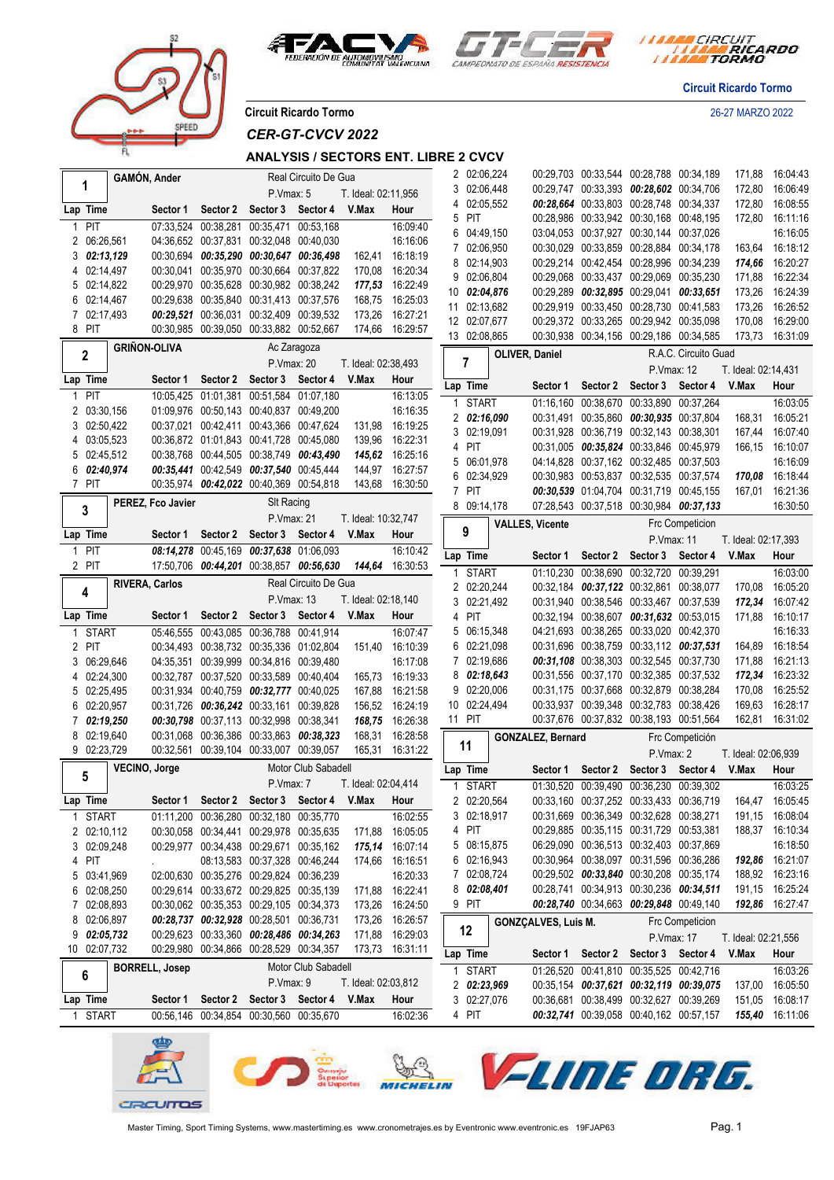



*I MARA CIRCUIT<br>I MARA RICARDO* 

**Circuit Ricardo Tormo**

**Circuit Ricardo Tormo** 26-27 MARZO 2022

PEED

*CER-GT-CVCV 2022*

### **ANALYSIS / SECTORS ENT. LIBRE 2 CVCV**

|              |                    | GAMÓN, Ander                                   |                                            |                               | Real Circuito De Gua                    |                     |                 |    | 2 02:06,224                |                            |                   | 00:29,703 00:33,544 00:28,788 00:34,189                                            |                                                         | 171,88              | 16:04:43                    |
|--------------|--------------------|------------------------------------------------|--------------------------------------------|-------------------------------|-----------------------------------------|---------------------|-----------------|----|----------------------------|----------------------------|-------------------|------------------------------------------------------------------------------------|---------------------------------------------------------|---------------------|-----------------------------|
|              | 1                  |                                                |                                            | P.Vmax: 5                     |                                         | T. Ideal: 02:11,956 |                 |    | 3 02:06,448                |                            |                   | 00:29,747 00:33,393 00:28,602 00:34,706                                            |                                                         | 172,80              | 16:06:49                    |
|              | Lap Time           | Sector 1                                       | Sector 2                                   | Sector 3 Sector 4             |                                         | V.Max               | Hour            | 4  | 02:05,552                  |                            |                   | 00:28,664 00:33,803 00:28,748 00:34,337                                            |                                                         | 172,80              | 16:08:55                    |
| 1            | <b>PIT</b>         |                                                | 07:33,524 00:38,281 00:35,471 00:53,168    |                               |                                         |                     | 16:09:40        | 5  | PIT                        |                            |                   | 00:28,986 00:33,942 00:30,168 00:48,195                                            |                                                         | 172,80              | 16:11:16                    |
|              | 2 06:26,561        |                                                | 04:36,652 00:37,831 00:32,048 00:40,030    |                               |                                         |                     | 16:16:06        | 6  | 04:49,150                  |                            |                   | 03:04,053 00:37,927 00:30,144 00:37,026                                            |                                                         |                     | 16:16:05                    |
| 3            | 02:13,129          |                                                | 00:30.694 00:35,290 00:30,647 00:36,498    |                               |                                         |                     | 162,41 16:18:19 |    | 02:06,950                  |                            |                   | 00:30,029 00:33,859 00:28,884 00:34,178                                            |                                                         |                     | 163,64 16:18:12             |
| 4            | 02:14,497          |                                                | 00:30,041 00:35,970 00:30,664 00:37,822    |                               |                                         |                     | 170,08 16:20:34 |    | 8 02:14,903                |                            |                   | 00:29.214 00:42.454 00:28.996 00:34.239                                            |                                                         | 174,66              | 16:20:27                    |
| 5            | 02:14,822          |                                                | 00:29,970 00:35,628 00:30,982 00:38,242    |                               |                                         |                     | 177,53 16:22:49 | 9  | 02:06,804                  |                            |                   | 00:29,068 00:33,437 00:29,069 00:35,230                                            |                                                         | 171,88              | 16:22:34                    |
| 6            | 02:14,467          |                                                | 00:29,638 00:35,840 00:31,413 00:37,576    |                               |                                         |                     | 168,75 16:25:03 | 10 | 02:04,876                  |                            |                   | 00:29,289 00:32,895 00:29,041 00:33,651                                            |                                                         | 173,26              | 16:24:39                    |
|              | 7 02:17,493        |                                                | 00:29,521 00:36,031 00:32,409 00:39,532    |                               |                                         | 173,26              | 16:27:21        |    | 11 02:13,682               |                            |                   | 00:29,919 00:33,450 00:28,730 00:41,583                                            |                                                         | 173,26              | 16:26:52                    |
|              | 8 PIT              |                                                | 00:30,985 00:39,050 00:33,882 00:52,667    |                               |                                         |                     | 174,66 16:29:57 |    | 12 02:07,677               |                            |                   | 00:29,372 00:33,265 00:29,942 00:35,098                                            |                                                         | 170,08              | 16:29:00                    |
|              |                    |                                                |                                            |                               |                                         |                     |                 |    | 13 02:08,865               |                            |                   | 00:30,938 00:34,156 00:29,186 00:34,585                                            |                                                         | 173,73              | 16:31:09                    |
|              | $\overline{2}$     | <b>GRIÑON-OLIVA</b>                            |                                            |                               | Ac Zaragoza                             |                     |                 |    |                            | OLIVER, Daniel             |                   |                                                                                    | R.A.C. Circuito Guad                                    |                     |                             |
|              |                    |                                                |                                            | P.Vmax: 20                    |                                         | T. Ideal: 02:38,493 |                 |    | 7                          |                            |                   | P.Vmax: 12                                                                         |                                                         | T. Ideal: 02:14,431 |                             |
|              | Lap Time           |                                                | Sector 1 Sector 2 Sector 3 Sector 4        |                               |                                         | V.Max               | Hour            |    | Lap Time                   | Sector 1                   | Sector 2          | Sector 3 Sector 4                                                                  |                                                         | V.Max               | Hour                        |
|              | PIT                |                                                | 10:05.425  01:01.381  00:51.584  01:07.180 |                               |                                         |                     | 16:13:05        | 1  | <b>START</b>               | 01:16,160                  |                   | 00:38,670 00:33,890 00:37,264                                                      |                                                         |                     | 16:03:05                    |
|              | 2 03:30,156        |                                                | 01:09,976 00:50,143 00:40,837 00:49,200    |                               |                                         |                     | 16:16:35        |    | 2 02:16,090                |                            |                   | 00:31,491 00:35,860 00:30,935 00:37,804                                            |                                                         | 168,31              | 16:05:21                    |
| 3            | 02:50,422          |                                                | 00:37,021 00:42,411 00:43,366 00:47,624    |                               |                                         |                     | 131,98 16:19:25 |    | 3 02:19,091                |                            |                   | 00:31,928 00:36,719 00:32,143 00:38,301                                            |                                                         | 167,44              | 16:07:40                    |
|              | 4 03:05,523        |                                                | 00:36,872 01:01,843 00:41,728 00:45,080    |                               |                                         |                     | 139,96 16:22:31 | 4  | PIT                        |                            |                   | 00:31,005 00:35,824 00:33,846 00:45,979                                            |                                                         | 166,15              | 16:10:07                    |
| 5            | 02:45,512          |                                                | 00:38.768 00:44.505 00:38.749 00:43.490    |                               |                                         |                     | 145,62 16:25:16 |    | 5 06:01,978                |                            |                   | 04:14,828 00:37,162 00:32,485 00:37,503                                            |                                                         |                     | 16:16:09                    |
|              | $6\quad 02:40,974$ |                                                | 00:35,441 00:42,549 00:37,540 00:45,444    |                               |                                         |                     | 144,97 16:27:57 |    | 6 02:34,929                |                            |                   | 00:30.983 00:53.837 00:32.535 00:37.574                                            |                                                         |                     | 170,08 16:18:44             |
|              | 7 PIT              |                                                | 00:35,974 00:42,022 00:40,369 00:54,818    |                               |                                         |                     | 143,68 16:30:50 |    | 7 PIT                      |                            |                   | 00:30,539 01:04,704 00:31,719 00:45,155                                            |                                                         | 167,01              | 16:21:36                    |
|              |                    | PEREZ, Fco Javier                              |                                            | <b>SIt Racing</b>             |                                         |                     |                 |    | 8 09:14,178                |                            |                   | 07:28,543 00:37,518 00:30,984 00:37,133                                            |                                                         |                     | 16:30:50                    |
|              | 3                  |                                                |                                            | P. Vmax: 21                   |                                         | T. Ideal: 10:32,747 |                 |    |                            | <b>VALLES, Vicente</b>     |                   |                                                                                    | Frc Competicion                                         |                     |                             |
|              | Lap Time           | Sector 1                                       |                                            | Sector 2 Sector 3 Sector 4    |                                         | V.Max               | Hour            |    | 9                          |                            |                   | <b>P.Vmax: 11</b>                                                                  |                                                         | T. Ideal: 02:17,393 |                             |
| $\mathbf{1}$ | PIT                |                                                | 08:14,278 00:45,169 00:37,638 01:06,093    |                               |                                         |                     | 16:10:42        |    |                            |                            |                   |                                                                                    |                                                         |                     |                             |
|              | 2 PIT              |                                                |                                            |                               | 17:50,706 00:44,201 00:38,857 00:56,630 |                     | 144,64 16:30:53 |    | Lap Time                   | Sector 1                   | Sector 2 Sector 3 |                                                                                    | Sector 4                                                | V.Max               | Hour                        |
|              |                    | <b>RIVERA, Carlos</b>                          |                                            |                               | Real Circuito De Gua                    |                     |                 |    | <b>START</b>               |                            |                   | 01:10,230 00:38,690 00:32,720 00:39,291                                            |                                                         |                     | 16:03:00                    |
|              | 4                  |                                                |                                            |                               |                                         |                     |                 |    | 2 02:20,244                |                            |                   | 00:32,184 00:37,122 00:32,861 00:38,077                                            |                                                         | 170,08              | 16:05:20                    |
|              |                    |                                                |                                            |                               |                                         |                     |                 |    |                            |                            |                   |                                                                                    |                                                         |                     |                             |
|              |                    |                                                |                                            | P.Vmax: 13                    |                                         | T. Ideal: 02:18,140 |                 |    | 3 02:21,492                |                            |                   | 00:31,940 00:38,546 00:33,467 00:37,539                                            |                                                         | 172,34              | 16:07:42                    |
|              | Lap Time           | Sector 1                                       |                                            | Sector 2 Sector 3 Sector 4    |                                         | V.Max               | Hour            |    | 4 PIT                      |                            |                   | 00:32,194 00:38,607 00:31,632 00:53,015                                            |                                                         | 171,88              | 16:10:17                    |
|              | <b>START</b>       |                                                | 05:46,555 00:43,085 00:36,788 00:41,914    |                               |                                         |                     | 16:07:47        | 5  | 06:15,348                  |                            |                   | 04:21,693 00:38,265 00:33,020 00:42,370                                            |                                                         |                     | 16:16:33                    |
| 2            | PIT                |                                                | 00:34,493 00:38,732 00:35,336 01:02,804    |                               |                                         |                     | 151,40 16:10:39 | 6  | 02:21,098                  |                            |                   | 00:31,696 00:38,759 00:33,112 00:37,531                                            |                                                         | 164,89              | 16:18:54                    |
| 3            | 06:29,646          |                                                | 04:35,351 00:39,999 00:34,816 00:39,480    |                               |                                         |                     | 16:17:08        | 7  | 02:19,686                  |                            |                   | 00:31,108 00:38,303 00:32,545 00:37,730                                            |                                                         | 171,88              | 16:21:13                    |
|              | 4 02:24,300        |                                                | 00:32,787 00:37,520 00:33,589 00:40,404    |                               |                                         |                     | 165,73 16:19:33 | 8  | 02:18,643                  |                            |                   | 00:31,556 00:37,170 00:32,385 00:37,532                                            |                                                         | 172,34              | 16:23:32                    |
| 5            | 02:25,495          |                                                | 00:31,934 00:40,759 00:32,777 00:40,025    |                               |                                         | 167,88              | 16:21:58        |    | 9 02:20,006                |                            |                   | 00:31,175 00:37,668 00:32,879 00:38,284                                            |                                                         | 170,08              | 16:25:52                    |
| 6            | 02:20,957          |                                                | 00:31,726 00:36,242 00:33,161 00:39,828    |                               |                                         |                     | 156,52 16:24:19 |    | 10 02:24,494               |                            |                   | 00:33,937 00:39,348 00:32,783 00:38,426                                            |                                                         | 169,63              | 16:28:17                    |
|              | 02:19.250          |                                                | 00:30,798 00:37,113 00:32,998 00:38,341    |                               |                                         |                     | 168,75 16:26:38 |    | 11 PIT                     |                            |                   | 00:37,676 00:37,832 00:38,193 00:51,564                                            |                                                         |                     | 162,81 16:31:02             |
|              | 02:19,640          |                                                | 00:31,068 00:36,386 00:33,863 00:38,323    |                               |                                         | 168,31              | 16:28:58        |    |                            | <b>GONZALEZ, Bernard</b>   |                   |                                                                                    | Frc Competición                                         |                     |                             |
|              | 9 02:23,729        |                                                | 00:32,561 00:39,104 00:33,007 00:39,057    |                               |                                         |                     | 165,31 16:31:22 |    | 11                         |                            |                   | P.Vmax: 2                                                                          |                                                         | T. Ideal: 02:06,939 |                             |
|              |                    | VECINO, Jorge                                  |                                            |                               | Motor Club Sabadell                     |                     |                 |    | Lap Time                   | Sector 1                   | Sector 2          | Sector 3 Sector 4                                                                  |                                                         | V.Max               | Hour                        |
|              | 5                  |                                                |                                            | P.Vmax: 7                     |                                         | T. Ideal: 02:04,414 |                 |    | 1 START                    |                            |                   | 01:30.520 00:39.490 00:36.230 00:39.302                                            |                                                         |                     | 16:03:25                    |
|              | Lap Time           | Sector 1 Sector 2 Sector 3 Sector 4 V.Max Hour |                                            |                               |                                         |                     |                 |    | 2 02:20,564                |                            |                   |                                                                                    | 00:33,160 00:37,252 00:33,433 00:36,719 164,47 16:05:45 |                     |                             |
| 1.           | <b>START</b>       |                                                | 01:11,200 00:36,280 00:32,180 00:35,770    |                               |                                         |                     | 16:02:55        |    | 3 02:18,917                |                            |                   | 00:31,669 00:36,349 00:32,628 00:38,271                                            |                                                         |                     | 191,15 16:08:04             |
|              | 2 02:10,112        |                                                | 00:30,058 00:34,441 00:29,978 00:35,635    |                               |                                         |                     | 171,88 16:05:05 |    | 4 PIT                      |                            |                   | 00:29,885 00:35,115 00:31,729 00:53,381                                            |                                                         |                     | 188,37 16:10:34             |
|              | 3 02:09,248        |                                                | 00:29.977 00:34.438 00:29.671 00:35.162    |                               |                                         |                     | 175,14 16:07:14 |    | 5 08:15,875                |                            |                   | 06:29.090 00:36.513 00:32.403 00:37.869                                            |                                                         |                     | 16:18:50                    |
| 4            | PIT                |                                                |                                            | 08:13,583 00:37,328 00:46,244 |                                         |                     | 174,66 16:16:51 |    | 6 02:16,943                |                            |                   | 00:30,964 00:38,097 00:31,596 00:36,286                                            |                                                         |                     | 192,86 16:21:07             |
| 5            | 03:41,969          |                                                | 02:00,630 00:35,276 00:29,824 00:36,239    |                               |                                         |                     | 16:20:33        |    | 7 02:08,724                |                            |                   | 00:29,502 00:33,840 00:30,208 00:35,174                                            |                                                         |                     | 188,92 16:23:16             |
| 6            | 02:08,250          |                                                | 00:29.614 00:33.672 00:29.825 00:35.139    |                               |                                         |                     | 171,88 16:22:41 |    | 8 02:08,401                |                            |                   | 00:28,741 00:34,913 00:30,236 00:34,511                                            |                                                         |                     | 191,15 16:25:24             |
| 7            | 02:08,893          |                                                | 00:30,062 00:35,353 00:29,105 00:34,373    |                               |                                         |                     | 173,26 16:24:50 |    | 9 PIT                      |                            |                   | 00:28,740 00:34,663 00:29,848 00:49,140                                            |                                                         |                     | 192,86 16:27:47             |
| 8            | 02:06,897          |                                                | 00:28,737 00:32,928 00:28,501 00:36,731    |                               |                                         |                     | 173,26 16:26:57 |    |                            | <b>GONZÇALVES, Luis M.</b> |                   |                                                                                    | Frc Competicion                                         |                     |                             |
| 9            | 02:05,732          |                                                | 00:29,623 00:33,360 00:28,486 00:34,263    |                               |                                         |                     | 171,88 16:29:03 |    | 12                         |                            |                   | P.Vmax: 17                                                                         |                                                         | T. Ideal: 02:21,556 |                             |
|              | 10 02:07,732       |                                                | 00:29,980 00:34,866 00:28,529 00:34,357    |                               |                                         |                     | 173,73 16:31:11 |    | Lap Time                   | Sector 1                   | Sector 2          | Sector 3 Sector 4                                                                  |                                                         | V.Max               | Hour                        |
|              |                    | <b>BORRELL, Josep</b>                          |                                            |                               | Motor Club Sabadell                     |                     |                 |    |                            |                            |                   |                                                                                    |                                                         |                     |                             |
|              | 6                  |                                                |                                            | P.Vmax: 9                     |                                         | T. Ideal: 02:03,812 |                 |    | <b>START</b>               |                            |                   | 01:26,520 00:41,810 00:35,525 00:42,716<br>00:35,154 00:37,621 00:32,119 00:39,075 |                                                         |                     | 16:03:26<br>137,00 16:05:50 |
|              | Lap Time           | Sector 1                                       | Sector 2                                   | Sector 3 Sector 4             |                                         | V.Max               | Hour            |    | 2 02:23,969<br>3 02:27,076 |                            |                   | 00:36,681 00:38,499 00:32,627 00:39,269                                            |                                                         |                     | 151,05 16:08:17             |
|              | 1 START            |                                                | 00:56,146 00:34,854 00:30,560 00:35,670    |                               |                                         |                     | 16:02:36        |    | 4 PIT                      |                            |                   | 00:32,741 00:39,058 00:40,162 00:57,157                                            |                                                         |                     | 155,40 16:11:06             |

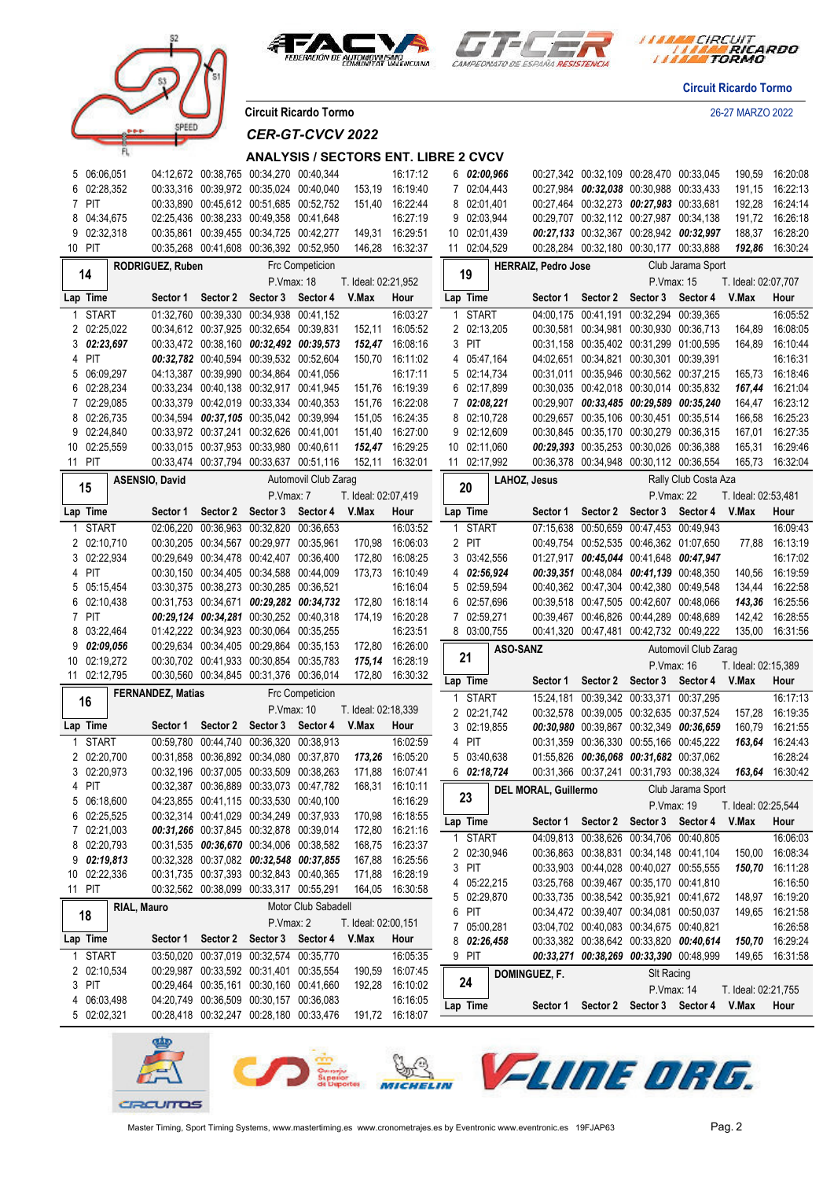





*I MARA CIRCUIT<br>I MARA RICARDO* 

**Circuit Ricardo Tormo**

**Circuit Ricardo Tormo** 26-27 MARZO 2022

# *CER-GT-CVCV 2022*

#### **ANALYSIS / SECTORS ENT. LIBRE 2 CVCV**

|    | 5 06:06,051             |             |                          |                               | 04:12,672 00:38,765 00:34,270 00:40,344                                            |                        |                     | 16:17:12                    |              | 602:00,966   |           |                             |                     | 00:27,342 00:32,109 00:28,470 00:33,045 |                      | 190,59              | 16:20:08        |
|----|-------------------------|-------------|--------------------------|-------------------------------|------------------------------------------------------------------------------------|------------------------|---------------------|-----------------------------|--------------|--------------|-----------|-----------------------------|---------------------|-----------------------------------------|----------------------|---------------------|-----------------|
| 6  | 02:28,352               |             |                          |                               | 00:33,316 00:39,972 00:35,024 00:40,040                                            |                        | 153,19              | 16:19:40                    |              | 7 02:04,443  |           |                             |                     | 00:27,984 00:32,038 00:30,988 00:33,433 |                      | 191,15              | 16:22:13        |
|    | 7 PIT                   |             |                          |                               | 00:33,890 00:45,612 00:51,685 00:52,752                                            |                        | 151.40              | 16:22:44                    |              | 8 02:01,401  |           |                             |                     | 00:27,464 00:32,273 00:27,983 00:33,681 |                      | 192,28              | 16:24:14        |
| 8  | 04:34,675               |             |                          |                               | 02:25.436 00:38.233 00:49.358 00:41.648                                            |                        |                     | 16:27:19                    |              | 9 02:03,944  |           |                             |                     | 00:29,707 00:32,112 00:27,987 00:34,138 |                      | 191,72              | 16:26:18        |
|    | 9 02:32,318             |             |                          |                               | 00:35,861 00:39,455 00:34,725 00:42,277                                            |                        | 149,31              | 16:29:51                    |              | 10 02:01,439 |           |                             |                     | 00:27,133 00:32,367 00:28,942 00:32,997 |                      | 188,37              | 16:28:20        |
|    | 10 PIT                  |             |                          |                               | 00:35.268 00:41.608 00:36.392 00:52.950                                            |                        | 146,28              | 16:32:37                    |              | 11 02:04,529 |           |                             |                     | 00:28,284 00:32,180 00:30,177 00:33,888 |                      | 192,86              | 16:30:24        |
|    |                         |             | RODRIGUEZ, Ruben         |                               |                                                                                    | <b>Frc Competicion</b> |                     |                             |              |              |           | <b>HERRAIZ, Pedro Jose</b>  |                     |                                         | Club Jarama Sport    |                     |                 |
|    | 14                      |             |                          |                               | P.Vmax: 18                                                                         |                        | T. Ideal: 02:21,952 |                             | 19           |              |           |                             |                     | P. Vmax: 15<br>T. Ideal: 02:07,707      |                      |                     |                 |
|    | Lap Time                |             |                          | Sector 1 Sector 2             | Sector 3 Sector 4                                                                  |                        | V.Max               | Hour                        |              | Lap Time     |           |                             | Sector 2            | Sector 3 Sector 4                       |                      | V.Max               | Hour            |
|    |                         |             |                          |                               |                                                                                    |                        |                     |                             |              |              |           | Sector 1                    |                     |                                         |                      |                     |                 |
| 1  | <b>START</b>            |             |                          | 01:32,760 00:39,330 00:34,938 |                                                                                    | 00:41.152              |                     | 16:03:27                    |              | 1 START      |           |                             | 04:00.175 00:41.191 | 00:32.294 00:39.365                     |                      |                     | 16:05:52        |
|    | 2 02:25,022             |             |                          |                               | 00:34,612 00:37,925 00:32,654 00:39,831                                            |                        | 152,11              | 16:05:52                    |              | 2 02:13,205  |           |                             |                     | 00:30,581 00:34,981 00:30,930 00:36,713 |                      | 164,89              | 16:08:05        |
|    | 302:23,697              |             |                          |                               | 00:33,472 00:38,160 00:32,492 00:39,573                                            |                        |                     | 152,47 16:08:16             |              | 3 PIT        |           |                             |                     | 00:31,158 00:35,402 00:31,299 01:00,595 |                      | 164,89              | 16:10:44        |
| 4  | PIT                     |             |                          |                               | 00:32,782 00:40,594 00:39,532 00:52,604                                            |                        |                     | 150,70 16:11:02             | 4            |              | 05:47,164 |                             |                     | 04:02.651 00:34.821 00:30.301 00:39.391 |                      |                     | 16:16:31        |
| 5  | 06:09,297               |             |                          |                               | 04:13,387 00:39,990 00:34,864 00:41,056                                            |                        |                     | 16:17:11                    |              | 5 02:14,734  |           |                             |                     | 00:31,011 00:35,946 00:30,562 00:37,215 |                      | 165,73              | 16:18:46        |
| 6  | 02:28,234               |             |                          |                               | 00:33,234 00:40,138 00:32,917 00:41,945                                            |                        |                     | 151,76 16:19:39             |              | 6 02:17,899  |           |                             |                     | 00:30,035 00:42,018 00:30,014 00:35,832 |                      | 167,44              | 16:21:04        |
|    | 7 02:29,085             |             |                          |                               | 00:33,379 00:42,019 00:33,334 00:40,353                                            |                        | 151,76              | 16:22:08                    |              | 7 02:08,221  |           |                             |                     | 00:29,907 00:33,485 00:29,589 00:35,240 |                      | 164,47              | 16:23:12        |
| 8  | 02:26,735               |             |                          |                               | 00:34,594 00:37,105 00:35,042 00:39,994                                            |                        | 151,05              | 16:24:35                    |              | 8 02:10,728  |           |                             |                     | 00:29,657 00:35,106 00:30,451 00:35,514 |                      | 166,58              | 16:25:23        |
|    | 9 02:24,840             |             |                          |                               | 00:33,972 00:37,241 00:32,626 00:41,001                                            |                        |                     | 151,40 16:27:00             |              | 9 02:12,609  |           |                             |                     | 00:30,845 00:35,170 00:30,279 00:36,315 |                      | 167,01              | 16:27:35        |
|    | 10 02:25,559            |             |                          |                               | 00:33.015 00:37.953 00:33.980 00:40.611                                            |                        |                     | 152,47 16:29:25             |              | 10 02:11,060 |           |                             |                     | 00:29,393 00:35,253 00:30,026 00:36,388 |                      | 165,31              | 16:29:46        |
|    | 11 PIT                  |             |                          |                               | 00:33,474 00:37,794 00:33,637 00:51,116                                            |                        |                     | 152,11 16:32:01             |              | 11 02:17,992 |           |                             |                     | 00:36,378 00:34,948 00:30,112 00:36,554 |                      | 165,73              | 16:32:04        |
|    |                         |             | <b>ASENSIO, David</b>    |                               |                                                                                    | Automovil Club Zarag   |                     |                             |              |              |           | LAHOZ, Jesus                |                     |                                         | Rally Club Costa Aza |                     |                 |
|    | 15                      |             |                          |                               | P.Vmax: 7                                                                          |                        | T. Ideal: 02:07,419 |                             |              | 20           |           |                             |                     | P.Vmax: 22                              |                      | T. Ideal: 02:53,481 |                 |
|    | Lap Time                |             | Sector 1                 |                               | Sector 2 Sector 3 Sector 4                                                         |                        | V.Max               | Hour                        |              | Lap Time     |           | Sector 1                    |                     | Sector 2 Sector 3 Sector 4              |                      | V.Max               | Hour            |
| 1  | <b>START</b>            |             |                          |                               | 02:06,220 00:36,963 00:32,820 00:36,653                                            |                        |                     | 16:03:52                    | 1            | <b>START</b> |           |                             |                     | 07:15,638 00:50,659 00:47,453 00:49,943 |                      |                     | 16:09:43        |
|    | 2 02:10.710             |             |                          |                               | 00:30,205 00:34,567 00:29,977 00:35,961                                            |                        | 170,98              | 16:06:03                    | $\mathbf{2}$ | PIT          |           |                             |                     | 00:49,754 00:52,535 00:46,362 01:07,650 |                      | 77,88               | 16:13:19        |
|    | 3 02:22.934             |             |                          |                               | 00:29,649 00:34,478 00:42,407 00:36,400                                            |                        |                     | 172,80 16:08:25             |              | 3 03:42,556  |           |                             |                     | 01:27,917 00:45,044 00:41,648 00:47,947 |                      |                     | 16:17:02        |
|    | 4 PIT                   |             |                          |                               | 00:30,150 00:34,405 00:34,588 00:44,009                                            |                        |                     | 173,73 16:10:49             |              | 4 02:56,924  |           |                             |                     | 00:39,351 00:48,084 00:41,139 00:48,350 |                      | 140,56              | 16:19:59        |
|    | 5 05:15,454             |             |                          |                               | 03:30,375 00:38,273 00:30,285 00:36,521                                            |                        |                     | 16:16:04                    |              | 5 02:59,594  |           |                             |                     | 00:40,362 00:47,304 00:42,380 00:49,548 |                      |                     | 134,44 16:22:58 |
| 6  | 02:10,438               |             |                          |                               | 00:31,753 00:34,671 00:29,282 00:34,732                                            |                        |                     | 172,80 16:18:14             |              | 6 02:57,696  |           |                             |                     | 00:39,518 00:47,505 00:42,607 00:48,066 |                      | 143,36              | 16:25:56        |
|    | 7 PIT                   |             |                          |                               | 00:29,124 00:34,281 00:30,252 00:40,318                                            |                        | 174,19              | 16:20:28                    |              | 7 02:59,271  |           |                             |                     | 00:39,467 00:46,826 00:44,289 00:48,689 |                      |                     | 142,42 16:28:55 |
| 8  | 03:22,464               |             |                          |                               | 01:42.222 00:34.923 00:30.064 00:35.255                                            |                        |                     | 16:23:51                    |              | 8 03:00,755  |           |                             |                     | 00:41,320 00:47,481 00:42,732 00:49,222 |                      |                     | 135,00 16:31:56 |
| 9  | 02:09,056               |             |                          |                               | 00:29,634 00:34,405 00:29,864 00:35,153                                            |                        |                     | 172,80 16:26:00             |              |              |           |                             |                     |                                         |                      |                     |                 |
| 10 | 02:19,272               |             |                          |                               | 00:30,702 00:41,933 00:30,854 00:35,783                                            |                        |                     | 175,14 16:28:19             |              | 21           |           | ASO-SANZ                    |                     |                                         | Automovil Club Zarag |                     |                 |
|    | 11 02:12,795            |             |                          |                               | 00:30,560 00:34,845 00:31,376 00:36,014                                            |                        |                     | 172,80 16:30:32             |              |              |           |                             |                     | P. Vmax: 16                             |                      | T. Ideal: 02:15,389 |                 |
|    |                         |             | <b>FERNANDEZ, Matias</b> |                               |                                                                                    | Frc Competicion        |                     |                             |              | Lap Time     |           | Sector 1                    | Sector 2            | Sector 3                                | Sector 4             | V.Max               | Hour            |
|    | 16                      |             |                          |                               | P.Vmax: 10                                                                         |                        |                     |                             |              | 1 START      |           |                             |                     | 15:24,181 00:39,342 00:33,371 00:37,295 |                      |                     | 16:17:13        |
|    |                         |             |                          |                               |                                                                                    |                        | T. Ideal: 02:18,339 |                             |              | 2 02:21,742  |           |                             |                     | 00:32,578 00:39,005 00:32,635 00:37,524 |                      | 157,28              | 16:19:35        |
|    | Lap Time                |             | Sector 1                 | Sector 2                      | Sector 3                                                                           | Sector 4               | V.Max               | Hour                        |              | 3 02:19,855  |           |                             |                     | 00:30,980 00:39,867 00:32,349 00:36,659 |                      | 160,79              | 16:21:55        |
| 1  | <b>START</b>            |             |                          |                               | 00:59.780 00:44.740 00:36.320 00:38.913                                            |                        |                     | 16:02:59                    |              | 4 PIT        |           |                             |                     | 00:31,359 00:36,330 00:55,166 00:45,222 |                      | 163,64              | 16:24:43        |
|    | 2 02:20,700             |             |                          |                               | 00:31,858 00:36,892 00:34,080 00:37,870                                            |                        | 173,26              | 16:05:20                    |              | 5 03:40,638  |           |                             |                     | 01:55,826 00:36,068 00:31,682 00:37,062 |                      |                     | 16:28:24        |
|    | 3 02:20,973             |             |                          |                               | 00:32,196 00:37,005 00:33,509 00:38,263                                            |                        | 171,88              | 16:07:41                    |              | 6 02:18,724  |           |                             |                     | 00:31,366 00:37,241 00:31,793 00:38,324 |                      | 163,64              | 16:30:42        |
|    | 4 PIT                   |             |                          |                               | 00:32,387 00:36,889 00:33,073 00:47,782                                            |                        | 168,31              | 16:10:11                    |              | 23           |           | <b>DEL MORAL, Guillermo</b> |                     |                                         | Club Jarama Sport    |                     |                 |
|    | 5 06:18,600             |             |                          |                               | 04:23,855 00:41,115 00:33,530 00:40,100                                            |                        |                     | 16:16:29                    |              |              |           |                             |                     | P.Vmax: 19                              |                      | T. Ideal: 02:25,544 |                 |
| 6  | 02:25,525               |             |                          |                               | 00:32,314 00:41,029 00:34,249 00:37,933                                            |                        | 170,98              | 16:18:55                    |              | Lap Time     |           |                             |                     | Sector 1 Sector 2 Sector 3 Sector 4     |                      | V.Max               | Hour            |
|    | 7 02:21,003             |             |                          |                               | 00:31,266 00:37,845 00:32,878 00:39,014                                            |                        |                     | 172,80 16:21:16             |              | 1 START      |           |                             |                     | 04:09,813 00:38,626 00:34,706 00:40,805 |                      |                     | 16:06:03        |
| 8  | 02:20,793<br>902:19.813 |             |                          |                               | 00:31,535 00:36,670 00:34,006 00:38,582                                            |                        | 168,75              | 16:23:37                    |              | 2 02:30,946  |           |                             |                     | 00:36,863 00:38,831 00:34,148 00:41,104 |                      | 150,00              | 16:08:34        |
|    |                         |             |                          |                               | 00:32,328 00:37,082 00:32,548 00:37,855<br>00:31,735 00:37,393 00:32,843 00:40,365 |                        | 167,88              | 16:25:56                    |              | 3 PIT        |           |                             |                     | 00:33,903 00:44,028 00:40,027 00:55,555 |                      |                     | 150,70 16:11:28 |
|    | 10 02:22,336<br>11 PIT  |             |                          |                               |                                                                                    |                        | 171,88              | 16:28:19<br>164,05 16:30:58 |              | 4 05:22,215  |           |                             |                     | 03:25,768 00:39,467 00:35,170 00:41,810 |                      |                     | 16:16:50        |
|    |                         |             |                          |                               | 00:32,562 00:38,099 00:33,317 00:55,291                                            |                        |                     |                             |              | 5 02:29,870  |           |                             |                     | 00:33,735 00:38,542 00:35,921 00:41,672 |                      |                     | 148,97 16:19:20 |
|    | 18                      | RIAL, Mauro |                          |                               |                                                                                    | Motor Club Sabadell    |                     |                             |              | 6 PIT        |           |                             |                     | 00:34,472 00:39,407 00:34,081 00:50,037 |                      |                     | 149,65 16:21:58 |
|    |                         |             |                          |                               | P.Vmax: 2                                                                          |                        | T. Ideal: 02:00,151 |                             |              | 7 05:00,281  |           |                             |                     | 03:04.702 00:40.083 00:34.675 00:40.821 |                      |                     | 16:26:58        |
|    | Lap Time                |             |                          |                               | Sector 1 Sector 2 Sector 3 Sector 4                                                |                        | V.Max               | Hour                        |              | 8 02:26,458  |           |                             |                     | 00:33,382 00:38,642 00:33,820 00:40,614 |                      |                     | 150,70 16:29:24 |
| 1. | <b>START</b>            |             |                          |                               | 03:50.020 00:37.019 00:32.574 00:35.770                                            |                        |                     | 16:05:35                    |              | 9 PIT        |           |                             |                     | 00:33,271 00:38,269 00:33,390 00:48,999 |                      |                     | 149,65 16:31:58 |
|    | 2 02:10,534             |             |                          |                               | 00:29,987 00:33,592 00:31,401 00:35,554                                            |                        | 190,59              | 16:07:45                    |              |              |           | DOMINGUEZ, F.               |                     | SIt Racing                              |                      |                     |                 |
|    | 3 PIT                   |             |                          |                               | 00:29,464 00:35,161 00:30,160 00:41,660                                            |                        |                     | 192,28 16:10:02             |              | 24           |           |                             |                     | P.Vmax: 14                              |                      | T. Ideal: 02:21,755 |                 |
|    | 4 06:03,498             |             |                          |                               | 04:20,749 00:36,509 00:30,157 00:36,083                                            |                        |                     | 16:16:05                    |              | Lap Time     |           | Sector 1                    |                     | Sector 2 Sector 3 Sector 4              |                      | V.Max               | Hour            |
|    | 5 02:02,321             |             |                          |                               | 00:28,418 00:32,247 00:28,180 00:33,476                                            |                        |                     | 191,72 16:18:07             |              |              |           |                             |                     |                                         |                      |                     |                 |
|    |                         |             |                          |                               |                                                                                    |                        |                     |                             |              |              |           |                             |                     |                                         |                      |                     |                 |

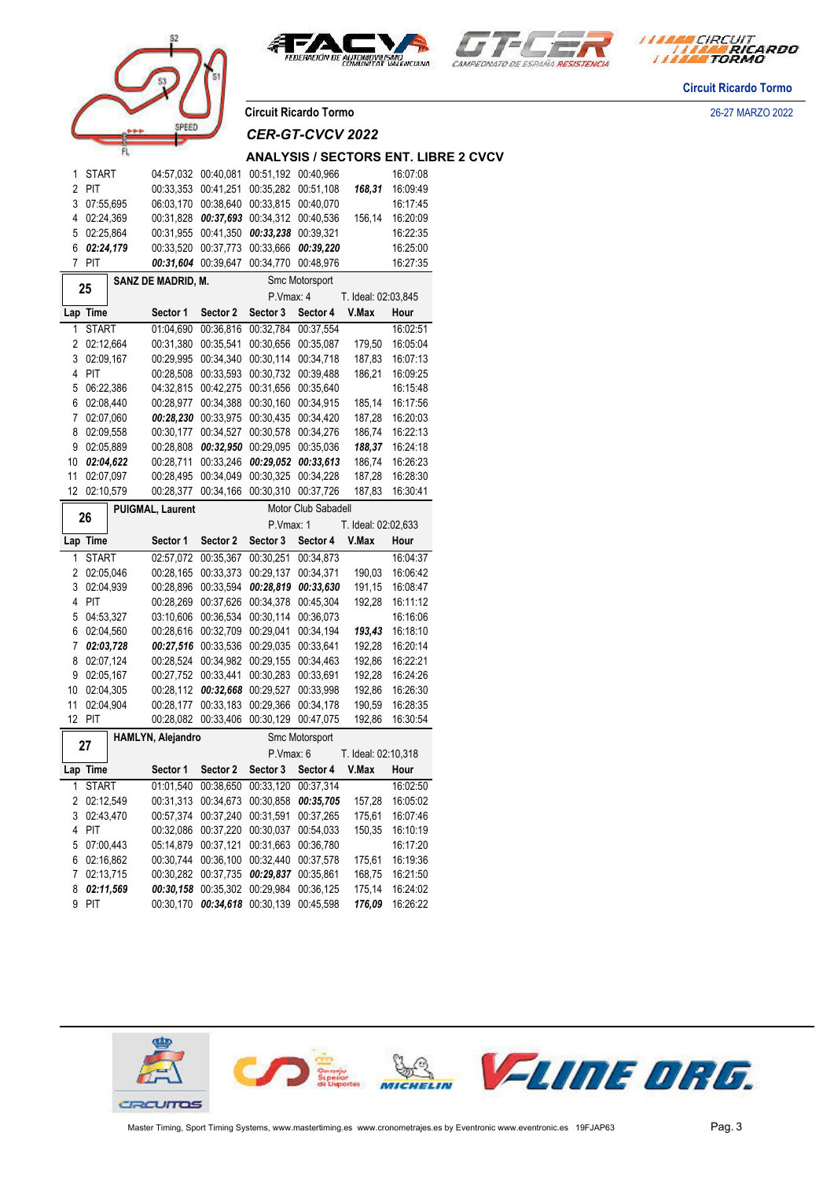





**Circuit Ricardo Tormo**

**Circuit Ricardo Tormo** 26-27 MARZO 2022

**SEET** 

*CER-GT-CVCV 2022*

#### **ANALYSIS / SECTORS ENT. LIBRE 2 CVCV**

| 1                                       | START            |  | 04:57,032              | 00:40,081                               | 00:51,192              | 00:40,966              |                     | 16:07:08             |
|-----------------------------------------|------------------|--|------------------------|-----------------------------------------|------------------------|------------------------|---------------------|----------------------|
| 2                                       | PIT              |  | 00:33,353              | 00:41,251                               | 00:35,282              | 00:51,108              | 168,31              | 16:09:49             |
| 3                                       | 07:55,695        |  | 06:03,170              | 00:38,640                               | 00:33,815              | 00:40,070              |                     | 16:17:45             |
| 4                                       | 02:24,369        |  | 00:31,828              | 00:37,693                               | 00:34,312              | 00:40,536              | 156,14              | 16:20:09             |
| 5                                       | 02:25,864        |  | 00:31,955              | 00:41,350                               | 00:33,238              | 00:39,321              |                     | 16:22:35             |
| 6                                       | 02:24,179        |  | 00:33,520              | 00:37,773                               | 00:33,666              | 00:39,220              |                     | 16:25:00             |
| 7                                       | PIT              |  | 00:31,604              | 00:39,647                               | 00:34,770              | 00:48,976              |                     | 16:27:35             |
|                                         |                  |  |                        |                                         |                        |                        |                     |                      |
|                                         | 25               |  | SANZ DE MADRID, M.     |                                         |                        | Smc Motorsport         |                     |                      |
|                                         |                  |  |                        |                                         | P.Vmax: 4              |                        | T. Ideal: 02:03,845 |                      |
|                                         | Lap Time         |  | Sector 1               | Sector 2                                | Sector 3               | Sector 4               | V.Max               | Hour                 |
| 1                                       | <b>START</b>     |  | 01:04,690              | 00:36,816                               | 00:32,784              | 00:37,554              |                     | 16:02:51             |
| 2                                       | 02:12,664        |  | 00:31,380              | 00:35,541                               | 00:30,656              | 00:35,087              | 179,50              | 16:05:04             |
| 3                                       | 02:09,167        |  | 00:29,995              | 00:34,340                               | 00:30,114              | 00:34,718              | 187,83              | 16:07:13             |
| 4                                       | PIT              |  | 00:28,508              | 00:33,593                               | 00:30,732              | 00:39,488              | 186,21              | 16:09:25             |
| 5                                       | 06:22,386        |  | 04:32,815              | 00:42,275                               | 00:31,656              | 00:35,640              |                     | 16:15:48             |
| 6                                       | 02:08,440        |  | 00:28,977              | 00:34,388                               | 00:30,160              | 00:34,915              | 185,14              | 16:17:56             |
| 7                                       | 02:07,060        |  | 00:28,230              | 00:33,975                               | 00:30,435              | 00:34,420              | 187,28              | 16:20:03             |
|                                         |                  |  |                        |                                         |                        |                        |                     |                      |
| 8                                       | 02:09,558        |  | 00:30,177              | 00:34,527                               | 00:30,578              | 00:34,276              | 186,74              | 16:22:13             |
| 9                                       | 02:05.889        |  | 00:28,808              | 00:32,950                               | 00:29,095              | 00:35,036              | 188,37              | 16:24:18             |
| 10                                      | 02:04,622        |  | 00:28,711              | 00:33,246                               | 00:29,052              | 00:33,613              | 186,74              | 16:26:23             |
| 11                                      | 02:07.097        |  | 00:28,495              | 00:34,049                               | 00:30,325              | 00:34,228              | 187,28              | 16:28:30             |
| 12                                      | 02:10,579        |  | 00:28,377              | 00:34,166                               | 00:30,310              | 00:37,726              | 187,83              | 16:30:41             |
| Motor Club Sabadell<br>PUIGMAL, Laurent |                  |  |                        |                                         |                        |                        |                     |                      |
|                                         | 26               |  |                        |                                         | P.Vmax: 1              |                        | T. Ideal: 02:02,633 |                      |
|                                         |                  |  |                        |                                         |                        |                        |                     |                      |
|                                         | Lap Time         |  | Sector 1               | Sector 2                                | Sector 3               | Sector 4               | V.Max               | Hour                 |
| 1                                       |                  |  |                        |                                         |                        | 00:34,873              |                     | 16:04:37             |
|                                         | <b>START</b>     |  | 02:57,072              | 00:35,367                               | 00:30,251              |                        |                     |                      |
| 2                                       | 02:05.046        |  | 00:28,165              | 00:33,373                               | 00:29,137              | 00:34,371              | 190,03              | 16:06:42             |
| 3                                       | 02:04,939        |  | 00:28,896              | 00:33,594                               | 00:28,819              | 00:33,630              | 191,15              | 16:08:47             |
| 4                                       | PIT              |  | 00:28,269              | 00:37,626                               | 00:34,378              | 00:45,304              | 192,28              | 16:11:12             |
| 5                                       | 04:53,327        |  | 03:10,606              | 00:36,534                               | 00:30,114              | 00:36,073              |                     | 16:16:06             |
| 6                                       | 02:04,560        |  | 00:28,616              | 00:32,709                               | 00:29,041              | 00:34,194              | 193,43              | 16:18:10             |
| 7                                       | 02:03,728        |  | 00:27,516              | 00:33,536                               | 00:29,035              | 00:33,641              | 192,28              | 16:20:14             |
| 8                                       | 02:07,124        |  | 00:28,524              | 00:34,982                               | 00:29,155              | 00:34,463              | 192,86              | 16:22:21             |
| 9                                       | 02:05,167        |  | 00:27,752              | 00:33,441                               | 00:30,283              | 00:33,691              | 192,28              | 16:24:26             |
| 10                                      | 02:04,305        |  | 00:28,112              | 00:32,668                               | 00:29,527              | 00:33,998              | 192,86              | 16:26:30             |
| 11                                      | 02:04,904        |  | 00:28,177              | 00:33,183                               | 00:29,366              | 00:34,178              | 190,59              | 16:28:35             |
| 12                                      | PIT              |  | 00:28,082              | 00:33,406                               | 00:30,129              | 00:47,075              | 192,86              | 16:30:54             |
|                                         |                  |  | HAMLYN, Alejandro      |                                         |                        | Smc Motorsport         |                     |                      |
|                                         | 27               |  |                        |                                         | P.Vmax: 6              |                        | T. Ideal: 02:10,318 |                      |
|                                         | Lap Time         |  | Sector 1               | Sector 2                                | Sector 3               | Sector 4               | V.Max               | Hour                 |
| 1                                       | <b>START</b>     |  |                        | 01:01.540 00:38.650                     |                        | 00:33,120 00:37,314    |                     | 16:02:50             |
|                                         |                  |  |                        |                                         |                        |                        |                     |                      |
| $\overline{c}$                          | 02:12,549        |  |                        | 00:31,313 00:34,673 00:30,858 00:35,705 |                        |                        | 157,28              | 16:05:02             |
| 3                                       | 02:43,470        |  | 00:57,374              | 00:37,240                               | 00:31,591              | 00:37,265              | 175,61              | 16:07:46             |
| 4                                       | PIT              |  | 00:32,086              | 00:37,220                               | 00:30,037              | 00:54,033              | 150,35              | 16:10:19             |
| 5                                       | 07:00,443        |  | 05:14,879              | 00:37,121                               | 00:31,663              | 00:36,780              |                     | 16:17:20             |
| 6                                       | 02:16,862        |  | 00:30,744              | 00:36,100                               | 00:32,440              | 00:37,578              | 175,61              | 16:19:36             |
| 7                                       | 02:13,715        |  | 00:30,282              | 00:37,735                               | 00:29,837              | 00:35,861              | 168,75              | 16:21:50             |
| 8<br>9                                  | 02:11,569<br>PIT |  | 00:30,158<br>00:30,170 | 00:35,302<br>00:34,618                  | 00:29,984<br>00:30,139 | 00:36,125<br>00:45,598 | 175,14<br>176,09    | 16:24:02<br>16:26:22 |

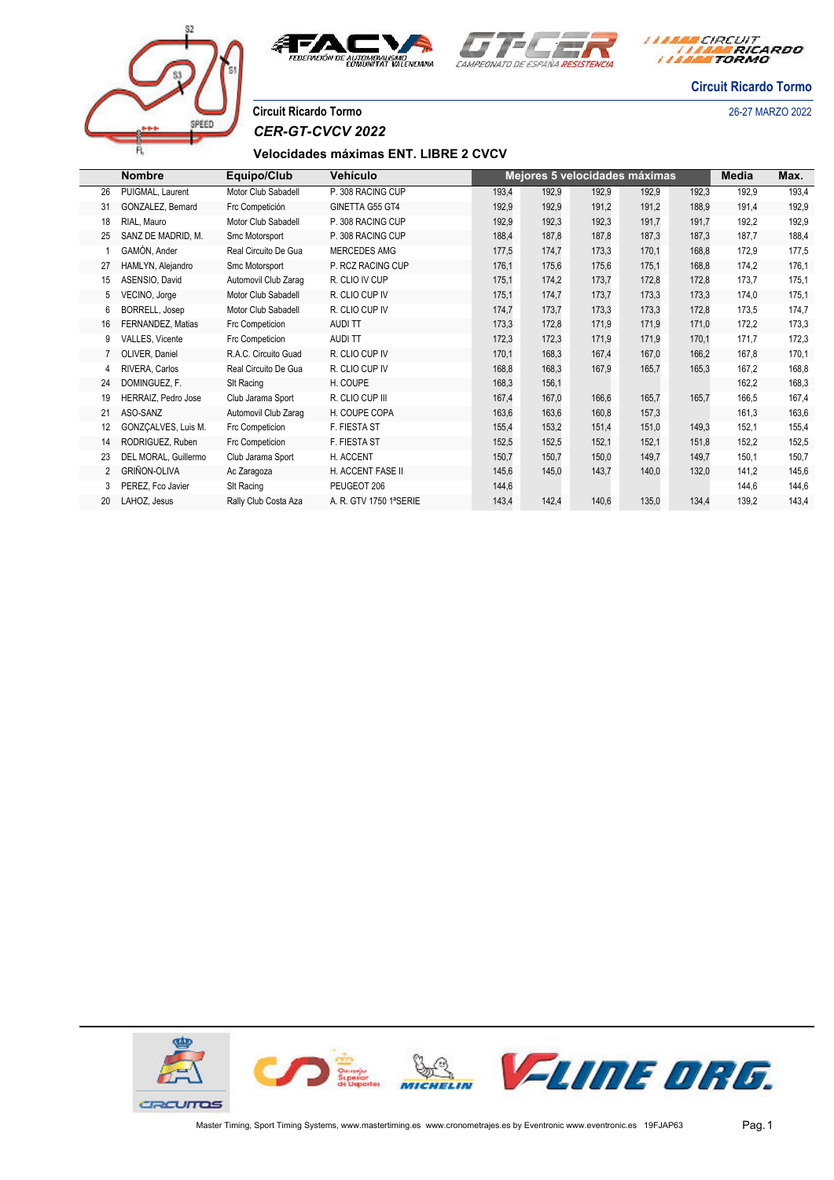



*I MARA CIRCUIT<br>I MARA RICARDO* 

**Circuit Ricardo Tormo**

**Circuit Ricardo Tormo** 26-27 MARZO 2022

# SPEET

Г

*CER-GT-CVCV 2022*

#### **Velocidades máximas ENT. LIBRE 2 CVCV**

|    | <b>Nombre</b>         | Equipo/Club          | Vehículo               |       |       |       | Mejores 5 velocidades máximas |       | Media | Max.  |
|----|-----------------------|----------------------|------------------------|-------|-------|-------|-------------------------------|-------|-------|-------|
| 26 | PUIGMAL, Laurent      | Motor Club Sabadell  | P. 308 RACING CUP      | 193,4 | 192,9 | 192,9 | 192,9                         | 192,3 | 192,9 | 193,4 |
| 31 | GONZALEZ, Bernard     | Frc Competición      | GINETTA G55 GT4        | 192,9 | 192,9 | 191,2 | 191,2                         | 188,9 | 191,4 | 192,9 |
| 18 | RIAL. Mauro           | Motor Club Sabadell  | P. 308 RACING CUP      | 192,9 | 192,3 | 192,3 | 191,7                         | 191,7 | 192,2 | 192,9 |
| 25 | SANZ DE MADRID, M.    | Smc Motorsport       | P. 308 RACING CUP      | 188,4 | 187,8 | 187,8 | 187,3                         | 187,3 | 187,7 | 188,4 |
|    | GAMÓN, Ander          | Real Circuito De Gua | MERCEDES AMG           | 177,5 | 174,7 | 173.3 | 170,1                         | 168,8 | 172,9 | 177,5 |
| 27 | HAMLYN, Alejandro     | Smc Motorsport       | P. RCZ RACING CUP      | 176,1 | 175.6 | 175,6 | 175,1                         | 168,8 | 174,2 | 176,1 |
| 15 | ASENSIO, David        | Automovil Club Zarag | R. CLIO IV CUP         | 175.1 | 174,2 | 173,7 | 172,8                         | 172,8 | 173,7 | 175,1 |
| 5  | VECINO, Jorge         | Motor Club Sabadell  | R. CLIO CUP IV         | 175,1 | 174,7 | 173,7 | 173,3                         | 173,3 | 174,0 | 175,1 |
| 6  | <b>BORRELL, Josep</b> | Motor Club Sabadell  | R. CLIO CUP IV         | 174,7 | 173.7 | 173.3 | 173.3                         | 172,8 | 173,5 | 174,7 |
| 16 | FERNANDEZ, Matias     | Frc Competicion      | AUDI TT                | 173,3 | 172,8 | 171.9 | 171,9                         | 171,0 | 172,2 | 173,3 |
| 9  | VALLES, Vicente       | Frc Competicion      | AUDI TT                | 172,3 | 172,3 | 171,9 | 171,9                         | 170,1 | 171,7 | 172,3 |
|    | OLIVER, Daniel        | R.A.C. Circuito Guad | R. CLIO CUP IV         | 170.1 | 168,3 | 167,4 | 167,0                         | 166,2 | 167,8 | 170,1 |
| 4  | RIVERA, Carlos        | Real Circuito De Gua | R. CLIO CUP IV         | 168,8 | 168,3 | 167.9 | 165,7                         | 165,3 | 167,2 | 168,8 |
| 24 | DOMINGUEZ, F.         | SIt Racing           | H. COUPE               | 168,3 | 156,1 |       |                               |       | 162,2 | 168,3 |
| 19 | HERRAIZ, Pedro Jose   | Club Jarama Sport    | R. CLIO CUP III        | 167,4 | 167,0 | 166,6 | 165,7                         | 165,7 | 166,5 | 167,4 |
| 21 | ASO-SANZ              | Automovil Club Zaraq | H. COUPE COPA          | 163,6 | 163,6 | 160,8 | 157,3                         |       | 161,3 | 163,6 |
| 12 | GONZCALVES, Luis M.   | Frc Competicion      | F. FIESTA ST           | 155,4 | 153,2 | 151,4 | 151,0                         | 149,3 | 152,1 | 155,4 |
| 14 | RODRIGUEZ, Ruben      | Frc Competicion      | F. FIESTA ST           | 152,5 | 152.5 | 152,1 | 152.1                         | 151,8 | 152,2 | 152,5 |
| 23 | DEL MORAL, Guillermo  | Club Jarama Sport    | H. ACCENT              | 150,7 | 150,7 | 150,0 | 149,7                         | 149,7 | 150,1 | 150,7 |
|    | <b>GRIÑON-OLIVA</b>   | Ac Zaragoza          | H. ACCENT FASE II      | 145,6 | 145,0 | 143,7 | 140,0                         | 132,0 | 141,2 | 145,6 |
| 3  | PEREZ, Fco Javier     | SIt Racing           | PEUGEOT 206            | 144,6 |       |       |                               |       | 144,6 | 144,6 |
| 20 | LAHOZ, Jesus          | Rally Club Costa Aza | A. R. GTV 1750 1ªSERIE | 143,4 | 142,4 | 140,6 | 135,0                         | 134,4 | 139,2 | 143,4 |